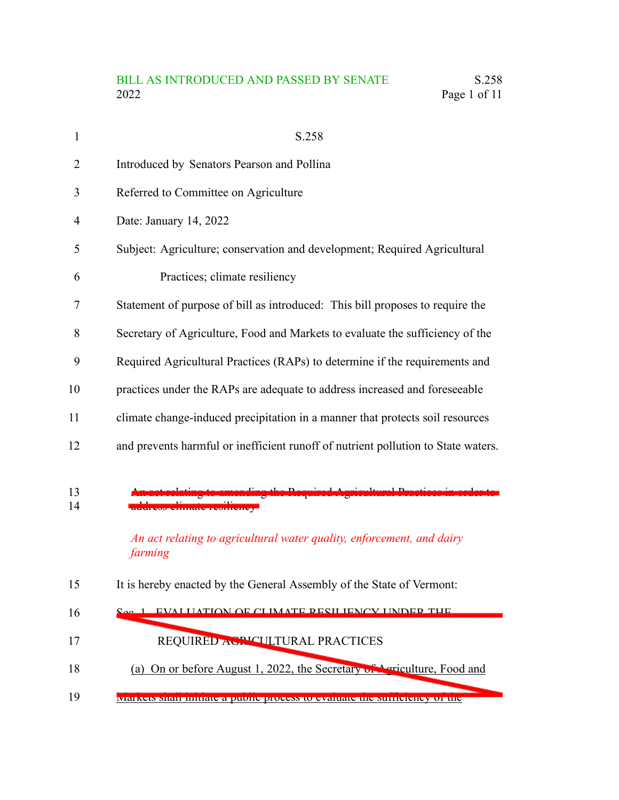# BILL AS INTRODUCED AND PASSED BY SENATE S.258<br>2022 Page 1 of 11 Page 1 of 11

| $\mathbf{1}$   | S.258                                                                             |
|----------------|-----------------------------------------------------------------------------------|
| $\overline{2}$ | Introduced by Senators Pearson and Pollina                                        |
| 3              | Referred to Committee on Agriculture                                              |
| $\overline{4}$ | Date: January 14, 2022                                                            |
| 5              | Subject: Agriculture; conservation and development; Required Agricultural         |
| 6              | Practices; climate resiliency                                                     |
| 7              | Statement of purpose of bill as introduced: This bill proposes to require the     |
| 8              | Secretary of Agriculture, Food and Markets to evaluate the sufficiency of the     |
| 9              | Required Agricultural Practices (RAPs) to determine if the requirements and       |
| 10             | practices under the RAPs are adequate to address increased and foreseeable        |
| 11             | climate change-induced precipitation in a manner that protects soil resources     |
| 12             | and prevents harmful or inefficient runoff of nutrient pollution to State waters. |
| 13<br>14       | An act relating to agricultural water quality, enforcement, and dairy<br>farming  |
| 15             | It is hereby enacted by the General Assembly of the State of Vermont:             |
| 16             | EVALUATION OF CUMATE DECILIENCY UNDER THE                                         |
| 17             | REQUIRED ACPICULTURAL PRACTICES                                                   |
| 18             | (a) On or before August 1, 2022, the Secretary of Agriculture, Food and           |
| 19             | Markets shall imuate a public process to evaluate the sumerency of the            |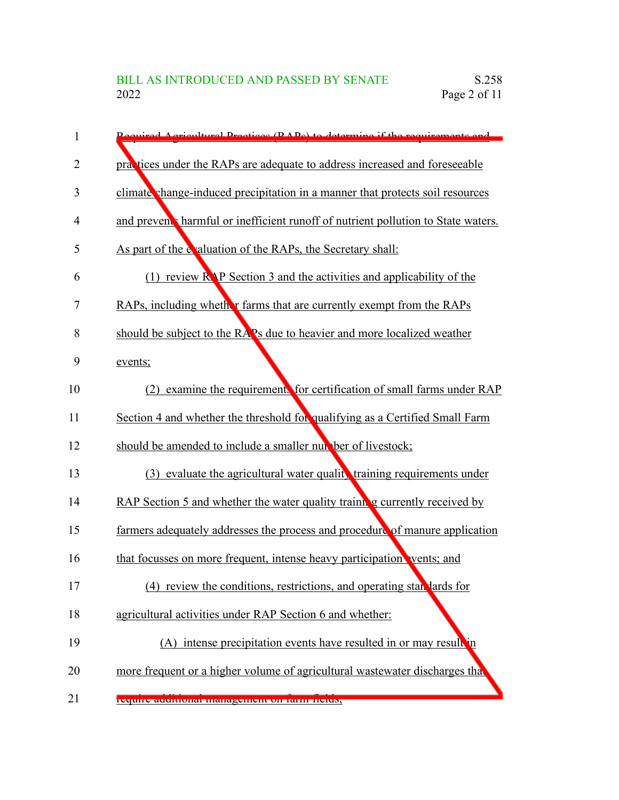| 1              | equired A cricultural Practices (PAPs) to determine if the requirements and                         |
|----------------|-----------------------------------------------------------------------------------------------------|
| $\overline{2}$ | practices under the RAPs are adequate to address increased and foreseeable                          |
| 3              | climate change-induced precipitation in a manner that protects soil resources                       |
| 4              | and prevent harmful or inefficient runoff of nutrient pollution to State waters.                    |
| 5              | As part of the evaluation of the RAPs, the Secretary shall:                                         |
| 6              | (1) review $\mathbb{R} \backslash \mathbb{P}$ Section 3 and the activities and applicability of the |
| 7              | RAPs, including whether farms that are currently exempt from the RAPs                               |
| 8              | should be subject to the RAPs due to heavier and more localized weather                             |
| 9              | events;                                                                                             |
| 10             | (2) examine the requirements for certification of small farms under RAP                             |
| 11             | Section 4 and whether the threshold for qualifying as a Certified Small Farm                        |
| 12             | should be amended to include a smaller number of livestock;                                         |
| 13             | (3) evaluate the agricultural water quality training requirements under                             |
| 14             | RAP Section 5 and whether the water quality training currently received by                          |
| 15             | farmers adequately addresses the process and procedure of manure application                        |
| 16             | that focusses on more frequent, intense heavy participation vents; and                              |
| 17             | (4) review the conditions, restrictions, and operating standards for                                |
| 18             | agricultural activities under RAP Section 6 and whether:                                            |
| 19             | (A) intense precipitation events have resulted in or may result in                                  |
| 20             | more frequent or a higher volume of agricultural wastewater discharges that                         |
| 21             | require authorial management on rann neius,                                                         |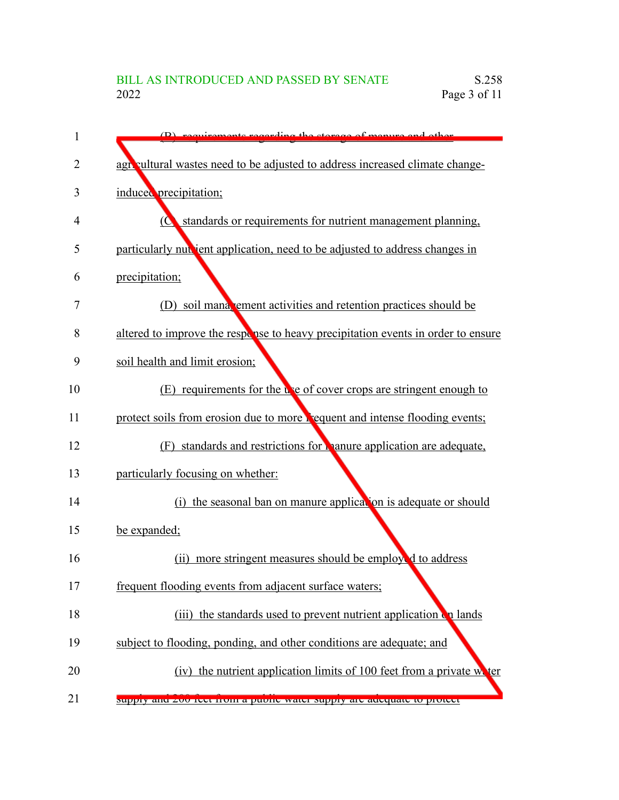| 1  | (B) requirements recording the storage of manure and other                       |
|----|----------------------------------------------------------------------------------|
| 2  | agricultural wastes need to be adjusted to address increased climate change-     |
| 3  | induced precipitation;                                                           |
| 4  | standards or requirements for nutrient management planning,<br>$\overline{O}$    |
| 5  | particularly nut jent application, need to be adjusted to address changes in     |
| 6  | precipitation;                                                                   |
| 7  | (D) soil mana, ement activities and retention practices should be                |
| 8  | altered to improve the response to heavy precipitation events in order to ensure |
| 9  | soil health and limit erosion;                                                   |
| 10 | (E) requirements for the use of cover crops are stringent enough to              |
| 11 | protect soils from erosion due to more requent and intense flooding events;      |
| 12 | (F) standards and restrictions for <b>parameter application</b> are adequate,    |
| 13 | particularly focusing on whether:                                                |
| 14 | (i) the seasonal ban on manure application is adequate or should                 |
| 15 | be expanded;                                                                     |
| 16 | more stringent measures should be employed to address<br>(i)                     |
| 17 | frequent flooding events from adjacent surface waters;                           |
| 18 | (iii) the standards used to prevent nutrient application on lands                |
| 19 | subject to flooding, ponding, and other conditions are adequate; and             |
| 20 | (iv) the nutrient application limits of 100 feet from a private water            |
| 21 | suppry and zou feet from a public water suppry are adequate to protect           |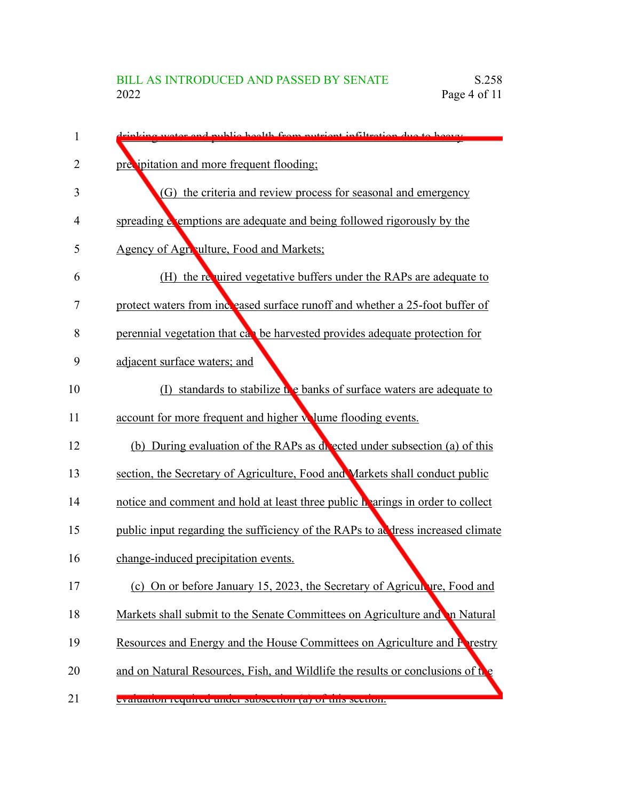| 1  | dripking water and public health from putrient infiltration due to began                                                                                                                                                             |
|----|--------------------------------------------------------------------------------------------------------------------------------------------------------------------------------------------------------------------------------------|
| 2  | precipitation and more frequent flooding;                                                                                                                                                                                            |
| 3  | (G) the criteria and review process for seasonal and emergency                                                                                                                                                                       |
| 4  | spreading <b>example of a set of a set of a set of a set of a set of a set of a set of a set of a set of a set of a set of a set of a set of a set of a set of a set of a set of a set of a set of a set of a set of a set of a </b> |
| 5  | Agency of Agriculture, Food and Markets;                                                                                                                                                                                             |
| 6  | (H) the required vegetative buffers under the RAPs are adequate to                                                                                                                                                                   |
| 7  | protect waters from increased surface runoff and whether a 25-foot buffer of                                                                                                                                                         |
| 8  | perennial vegetation that can be harvested provides adequate protection for                                                                                                                                                          |
| 9  | adjacent surface waters; and                                                                                                                                                                                                         |
| 10 | standards to stabilize the banks of surface waters are adequate to<br>$(\Gamma)$                                                                                                                                                     |
| 11 | account for more frequent and higher wume flooding events.                                                                                                                                                                           |
| 12 | (b) During evaluation of the RAPs as delected under subsection (a) of this                                                                                                                                                           |
| 13 | section, the Secretary of Agriculture, Food and Markets shall conduct public                                                                                                                                                         |
| 14 | notice and comment and hold at least three public hearings in order to collect                                                                                                                                                       |
| 15 | public input regarding the sufficiency of the RAPs to ad dress increased climate                                                                                                                                                     |
| 16 | change-induced precipitation events.                                                                                                                                                                                                 |
| 17 | (c) On or before January 15, 2023, the Secretary of Agriculture, Food and                                                                                                                                                            |
| 18 | Markets shall submit to the Senate Committees on Agriculture and in Natural                                                                                                                                                          |
| 19 | Resources and Energy and the House Committees on Agriculture and Prestry                                                                                                                                                             |
| 20 | and on Natural Resources, Fish, and Wildlife the results or conclusions of the                                                                                                                                                       |
| 21 | evaluation required under subsection (a) or this section.                                                                                                                                                                            |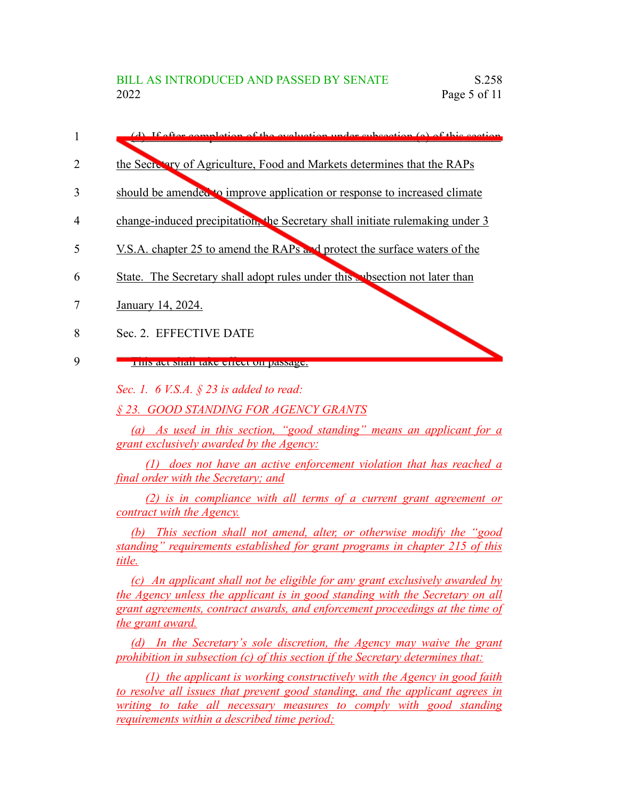- (d) If after completion of the evaluation under subsection (a) of this section the Secretary of Agriculture, Food and Markets determines that the RAPs should be amended to improve application or response to increased climate 1 2 3
- change-induced precipitation, the Secretary shall initiate rulemaking under 3 4
- V.S.A. chapter 25 to amend the RAPs and protect the surface waters of the 5
- State. The Secretary shall adopt rules under this subsection not later than 6
- January 14, 2024. 7
- Sec. 2. EFFECTIVE DATE 8
- This act shall take effect on passage. 9

*Sec. 1. 6 V.S.A. § 23 is added to read:*

*§ 23. GOOD STANDING FOR AGENCY GRANTS*

*(a) As used in this section, "good standing" means an applicant for a grant exclusively awarded by the Agency:*

*(1) does not have an active enforcement violation that has reached a final order with the Secretary; and*

*(2) is in compliance with all terms of a current grant agreement or contract with the Agency.*

*(b) This section shall not amend, alter, or otherwise modify the "good standing" requirements established for grant programs in chapter 215 of this title.*

*(c) An applicant shall not be eligible for any grant exclusively awarded by the Agency unless the applicant is in good standing with the Secretary on all grant agreements, contract awards, and enforcement proceedings at the time of the grant award.*

*(d) In the Secretary's sole discretion, the Agency may waive the grant prohibition in subsection (c) of this section if the Secretary determines that:*

*(1) the applicant is working constructively with the Agency in good faith to resolve all issues that prevent good standing, and the applicant agrees in writing to take all necessary measures to comply with good standing requirements within a described time period;*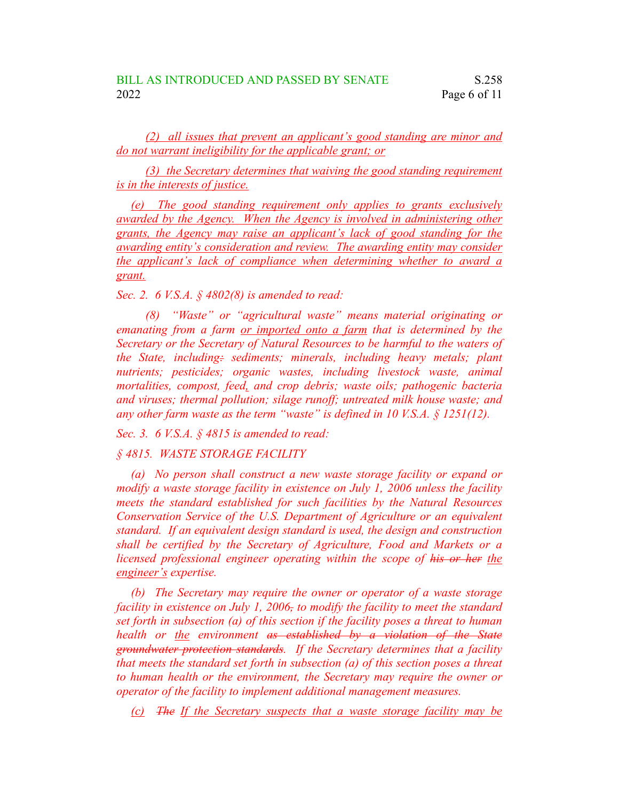*(2) all issues that prevent an applicant's good standing are minor and do not warrant ineligibility for the applicable grant; or*

*(3) the Secretary determines that waiving the good standing requirement is in the interests of justice.*

*(e) The good standing requirement only applies to grants exclusively awarded by the Agency. When the Agency is involved in administering other grants, the Agency may raise an applicant's lack of good standing for the awarding entity's consideration and review. The awarding entity may consider the applicant's lack of compliance when determining whether to award a grant.*

*Sec. 2. 6 V.S.A. § 4802(8) is amended to read:*

*(8) "Waste" or "agricultural waste" means material originating or emanating from a farm or imported onto a farm that is determined by the Secretary or the Secretary of Natural Resources to be harmful to the waters of the State, including: sediments; minerals, including heavy metals; plant nutrients; pesticides; organic wastes, including livestock waste, animal mortalities, compost, feed, and crop debris; waste oils; pathogenic bacteria and viruses; thermal pollution; silage runoff; untreated milk house waste; and any other farm waste as the term "waste" is defined in 10 V.S.A. § 1251(12).*

*Sec. 3. 6 V.S.A. § 4815 is amended to read:*

*§ 4815. WASTE STORAGE FACILITY*

*(a) No person shall construct a new waste storage facility or expand or modify a waste storage facility in existence on July 1, 2006 unless the facility meets the standard established for such facilities by the Natural Resources Conservation Service of the U.S. Department of Agriculture or an equivalent standard. If an equivalent design standard is used, the design and construction shall be certified by the Secretary of Agriculture, Food and Markets or a licensed professional engineer operating within the scope of his or her the engineer's expertise.*

*(b) The Secretary may require the owner or operator of a waste storage facility in existence on July 1, 2006, to modify the facility to meet the standard set forth in subsection (a) of this section if the facility poses a threat to human health or the environment as established by a violation of the State groundwater protection standards. If the Secretary determines that a facility that meets the standard set forth in subsection (a) of this section poses a threat to human health or the environment, the Secretary may require the owner or operator of the facility to implement additional management measures.*

*(c) The If the Secretary suspects that a waste storage facility may be*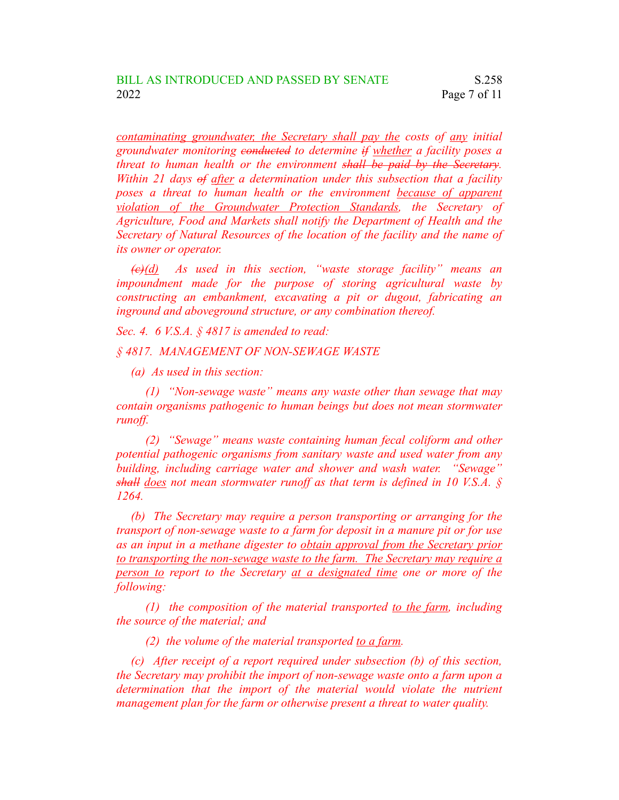*contaminating groundwater, the Secretary shall pay the costs of any initial groundwater monitoring conducted to determine if whether a facility poses a threat to human health or the environment shall be paid by the Secretary. Within 21 days of after a determination under this subsection that a facility poses a threat to human health or the environment because of apparent violation of the Groundwater Protection Standards, the Secretary of Agriculture, Food and Markets shall notify the Department of Health and the Secretary of Natural Resources of the location of the facility and the name of its owner or operator.*

*(c)(d) As used in this section, "waste storage facility" means an impoundment made for the purpose of storing agricultural waste by constructing an embankment, excavating a pit or dugout, fabricating an inground and aboveground structure, or any combination thereof.*

*Sec. 4. 6 V.S.A. § 4817 is amended to read:*

*§ 4817. MANAGEMENT OF NON-SEWAGE WASTE*

*(a) As used in this section:*

*(1) "Non-sewage waste" means any waste other than sewage that may contain organisms pathogenic to human beings but does not mean stormwater runoff.*

*(2) "Sewage" means waste containing human fecal coliform and other potential pathogenic organisms from sanitary waste and used water from any building, including carriage water and shower and wash water. "Sewage" shall does not mean stormwater runoff as that term is defined in 10 V.S.A. § 1264.*

*(b) The Secretary may require a person transporting or arranging for the transport of non-sewage waste to a farm for deposit in a manure pit or for use as an input in a methane digester to obtain approval from the Secretary prior to transporting the non-sewage waste to the farm. The Secretary may require a person to report to the Secretary at a designated time one or more of the following:*

*(1) the composition of the material transported to the farm, including the source of the material; and*

*(2) the volume of the material transported to a farm.*

*(c) After receipt of a report required under subsection (b) of this section, the Secretary may prohibit the import of non-sewage waste onto a farm upon a determination that the import of the material would violate the nutrient management plan for the farm or otherwise present a threat to water quality.*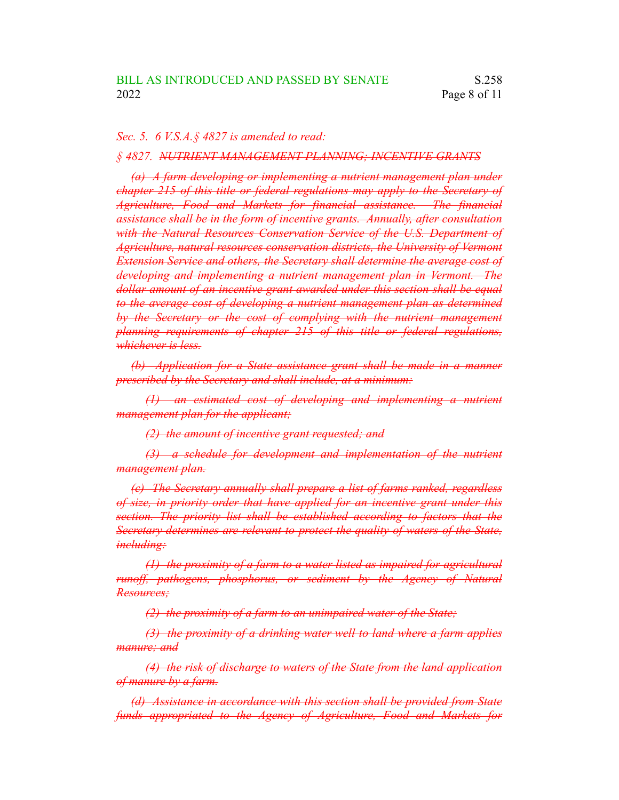## *Sec. 5. 6 V.S.A.§ 4827 is amended to read:*

## *§ 4827. NUTRIENT MANAGEMENT PLANNING; INCENTIVE GRANTS*

*(a) A farm developing or implementing a nutrient management plan under chapter 215 of this title or federal regulations may apply to the Secretary of Agriculture, Food and Markets for financial assistance. The financial assistance shall be in the form of incentive grants. Annually, after consultation with the Natural Resources Conservation Service of the U.S. Department of Agriculture, natural resources conservation districts, the University of Vermont Extension Service and others, the Secretary shall determine the average cost of developing and implementing a nutrient management plan in Vermont. The dollar amount of an incentive grant awarded under this section shall be equal to the average cost of developing a nutrient management plan as determined by the Secretary or the cost of complying with the nutrient management planning requirements of chapter 215 of this title or federal regulations, whichever is less.*

*(b) Application for a State assistance grant shall be made in a manner prescribed by the Secretary and shall include, at a minimum:*

*(1) an estimated cost of developing and implementing a nutrient management plan for the applicant;*

*(2) the amount of incentive grant requested; and*

*(3) a schedule for development and implementation of the nutrient management plan.*

*(c) The Secretary annually shall prepare a list of farms ranked, regardless of size, in priority order that have applied for an incentive grant under this section. The priority list shall be established according to factors that the Secretary determines are relevant to protect the quality of waters of the State, including:*

*(1) the proximity of a farm to a water listed as impaired for agricultural runoff, pathogens, phosphorus, or sediment by the Agency of Natural Resources;*

*(2) the proximity of a farm to an unimpaired water of the State;*

*(3) the proximity of a drinking water well to land where a farm applies manure; and*

*(4) the risk of discharge to waters of the State from the land application of manure by a farm.*

*(d) Assistance in accordance with this section shall be provided from State funds appropriated to the Agency of Agriculture, Food and Markets for*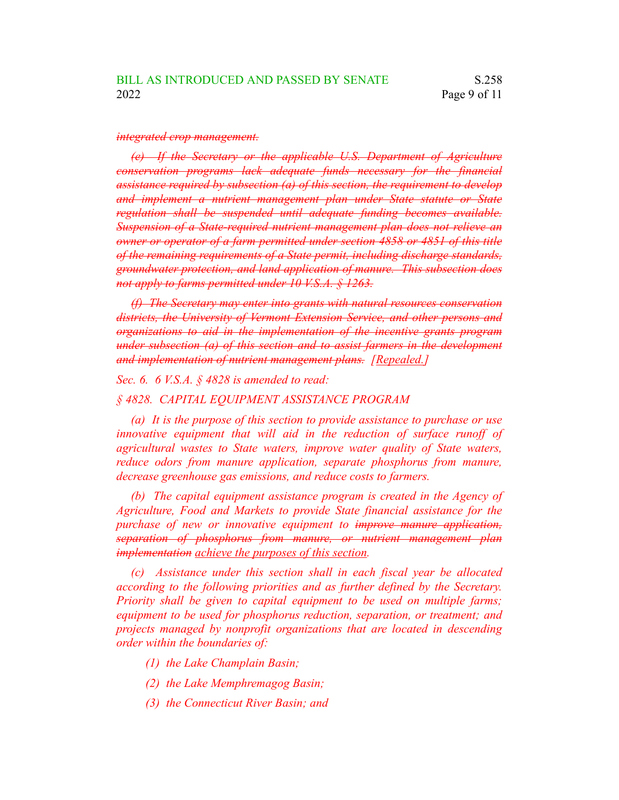#### *integrated crop management.*

*(e) If the Secretary or the applicable U.S. Department of Agriculture conservation programs lack adequate funds necessary for the financial assistance required by subsection (a) of this section, the requirement to develop and implement a nutrient management plan under State statute or State regulation shall be suspended until adequate funding becomes available. Suspension of a State-required nutrient management plan does not relieve an owner or operator of a farm permitted under section 4858 or 4851 of this title of the remaining requirements of a State permit, including discharge standards, groundwater protection, and land application of manure. This subsection does not apply to farms permitted under 10 V.S.A. § 1263.*

*(f) The Secretary may enter into grants with natural resources conservation districts, the University of Vermont Extension Service, and other persons and organizations to aid in the implementation of the incentive grants program under subsection (a) of this section and to assist farmers in the development and implementation of nutrient management plans. [Repealed.]*

*Sec. 6. 6 V.S.A. § 4828 is amended to read:*

## *§ 4828. CAPITAL EQUIPMENT ASSISTANCE PROGRAM*

*(a) It is the purpose of this section to provide assistance to purchase or use innovative equipment that will aid in the reduction of surface runoff of agricultural wastes to State waters, improve water quality of State waters, reduce odors from manure application, separate phosphorus from manure, decrease greenhouse gas emissions, and reduce costs to farmers.*

*(b) The capital equipment assistance program is created in the Agency of Agriculture, Food and Markets to provide State financial assistance for the purchase of new or innovative equipment to improve manure application, separation of phosphorus from manure, or nutrient management plan implementation achieve the purposes of this section.*

*(c) Assistance under this section shall in each fiscal year be allocated according to the following priorities and as further defined by the Secretary. Priority shall be given to capital equipment to be used on multiple farms; equipment to be used for phosphorus reduction, separation, or treatment; and projects managed by nonprofit organizations that are located in descending order within the boundaries of:*

- *(1) the Lake Champlain Basin;*
- *(2) the Lake Memphremagog Basin;*
- *(3) the Connecticut River Basin; and*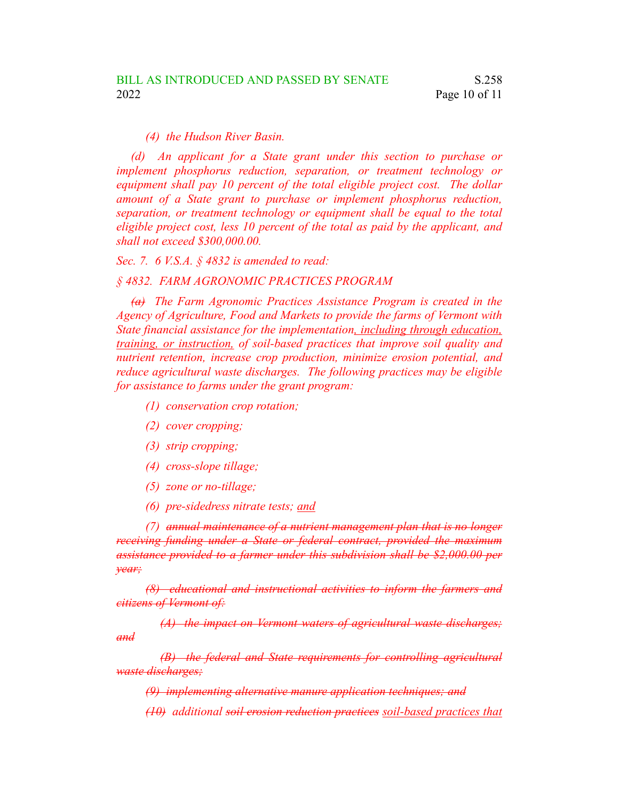## *(4) the Hudson River Basin.*

*(d) An applicant for a State grant under this section to purchase or implement phosphorus reduction, separation, or treatment technology or equipment shall pay 10 percent of the total eligible project cost. The dollar amount of a State grant to purchase or implement phosphorus reduction, separation, or treatment technology or equipment shall be equal to the total eligible project cost, less 10 percent of the total as paid by the applicant, and shall not exceed \$300,000.00.*

*Sec. 7. 6 V.S.A. § 4832 is amended to read:*

### *§ 4832. FARM AGRONOMIC PRACTICES PROGRAM*

*(a) The Farm Agronomic Practices Assistance Program is created in the Agency of Agriculture, Food and Markets to provide the farms of Vermont with State financial assistance for the implementation, including through education, training, or instruction, of soil-based practices that improve soil quality and nutrient retention, increase crop production, minimize erosion potential, and reduce agricultural waste discharges. The following practices may be eligible for assistance to farms under the grant program:*

- *(1) conservation crop rotation;*
- *(2) cover cropping;*
- *(3) strip cropping;*
- *(4) cross-slope tillage;*
- *(5) zone or no-tillage;*
- *(6) pre-sidedress nitrate tests; and*

*(7) annual maintenance of a nutrient management plan that is no longer receiving funding under a State or federal contract, provided the maximum assistance provided to a farmer under this subdivision shall be \$2,000.00 per year;*

*(8) educational and instructional activities to inform the farmers and citizens of Vermont of:*

*(A) the impact on Vermont waters of agricultural waste discharges; and*

*(B) the federal and State requirements for controlling agricultural waste discharges;*

*(9) implementing alternative manure application techniques; and*

*(10) additional soil erosion reduction practices soil-based practices that*